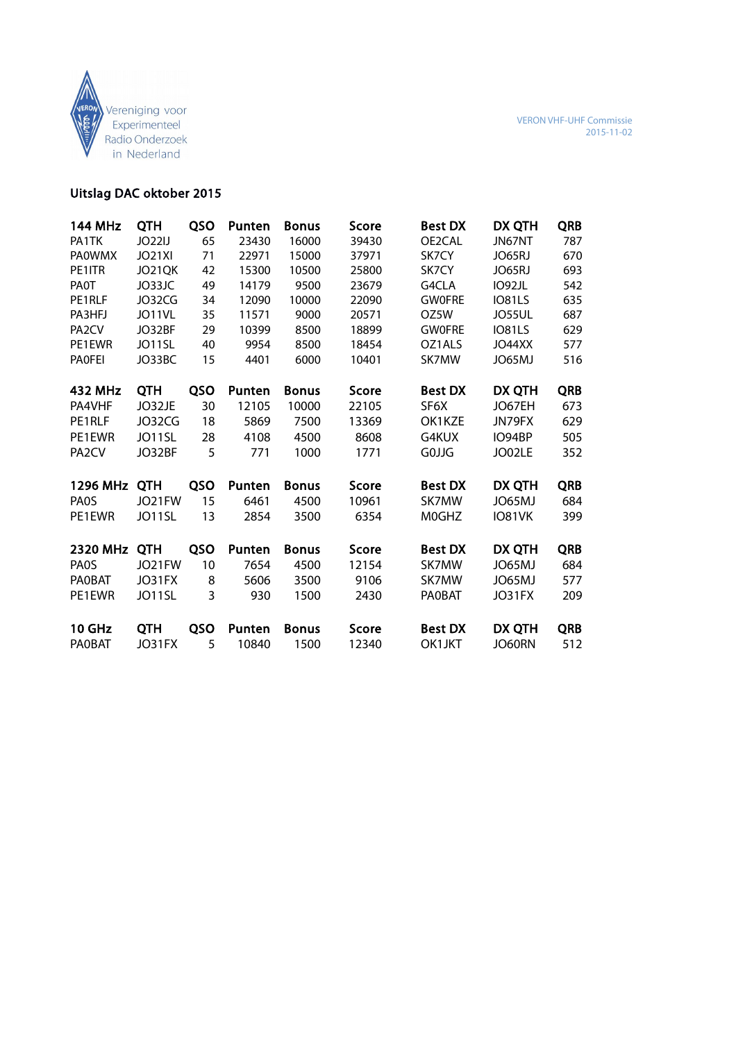

# Uitslag DAC oktober 2015

| <b>144 MHz</b>     | QTH           | QSO | Punten | <b>Bonus</b> | Score | <b>Best DX</b> | DX QTH        | <b>QRB</b> |
|--------------------|---------------|-----|--------|--------------|-------|----------------|---------------|------------|
| PA1TK              | JO22IJ        | 65  | 23430  | 16000        | 39430 | OE2CAL         | JN67NT        | 787        |
| <b>PAOWMX</b>      | <b>JO21XI</b> | 71  | 22971  | 15000        | 37971 | SK7CY          | JO65RJ        | 670        |
| PE1ITR             | <b>JO21OK</b> | 42  | 15300  | 10500        | 25800 | SK7CY          | JO65RJ        | 693        |
| <b>PAOT</b>        | JO33JC        | 49  | 14179  | 9500         | 23679 | G4CLA          | IO92JL        | 542        |
| PE1RLF             | JO32CG        | 34  | 12090  | 10000        | 22090 | <b>GWOFRE</b>  | IO81LS        | 635        |
| PA3HFJ             | JO11VL        | 35  | 11571  | 9000         | 20571 | OZ5W           | <b>JO55UL</b> | 687        |
| PA <sub>2</sub> CV | JO32BF        | 29  | 10399  | 8500         | 18899 | <b>GWOFRE</b>  | IO81LS        | 629        |
| PE1EWR             | JO11SL        | 40  | 9954   | 8500         | 18454 | OZ1ALS         | <b>JO44XX</b> | 577        |
| <b>PAOFEI</b>      | JO33BC        | 15  | 4401   | 6000         | 10401 | SK7MW          | JO65MJ        | 516        |
|                    |               |     |        |              |       |                |               |            |
| 432 MHz            | QTH           | QSO | Punten | <b>Bonus</b> | Score | <b>Best DX</b> | DX QTH        | <b>QRB</b> |
| PA4VHF             | JO32JE        | 30  | 12105  | 10000        | 22105 | SF6X           | JO67EH        | 673        |
| PE1RLF             | JO32CG        | 18  | 5869   | 7500         | 13369 | OK1KZE         | JN79FX        | 629        |
| PE1EWR             | JO11SL        | 28  | 4108   | 4500         | 8608  | G4KUX          | IO94BP        | 505        |
| PA <sub>2</sub> CV | JO32BF        | 5   | 771    | 1000         | 1771  | GOJJG          | JO02LE        | 352        |
|                    |               |     |        |              |       |                |               |            |
| 1296 MHz           | <b>QTH</b>    | QSO | Punten | <b>Bonus</b> | Score | <b>Best DX</b> | DX QTH        | <b>QRB</b> |
| <b>PAOS</b>        | JO21FW        | 15  | 6461   | 4500         | 10961 | SK7MW          | JO65MJ        | 684        |
| PE1EWR             | JO11SL        | 13  | 2854   | 3500         | 6354  | M0GHZ          | IO81VK        | 399        |
|                    |               |     |        |              |       |                |               |            |
| 2320 MHz           | <b>QTH</b>    | QSO | Punten | <b>Bonus</b> | Score | <b>Best DX</b> | DX QTH        | <b>QRB</b> |
| <b>PAOS</b>        | JO21FW        | 10  | 7654   | 4500         | 12154 | SK7MW          | JO65MJ        | 684        |
| <b>PAOBAT</b>      | JO31FX        | 8   | 5606   | 3500         | 9106  | SK7MW          | JO65MJ        | 577        |
| PE1EWR             | JO11SL        | 3   | 930    | 1500         | 2430  | <b>PAOBAT</b>  | JO31FX        | 209        |
|                    |               |     |        |              |       |                |               |            |
| 10 GHz             | <b>QTH</b>    | QSO | Punten | <b>Bonus</b> | Score | <b>Best DX</b> | DX QTH        | <b>QRB</b> |
| <b>PAOBAT</b>      | JO31FX        | 5   | 10840  | 1500         | 12340 | OK1JKT         | JO60RN        | 512        |